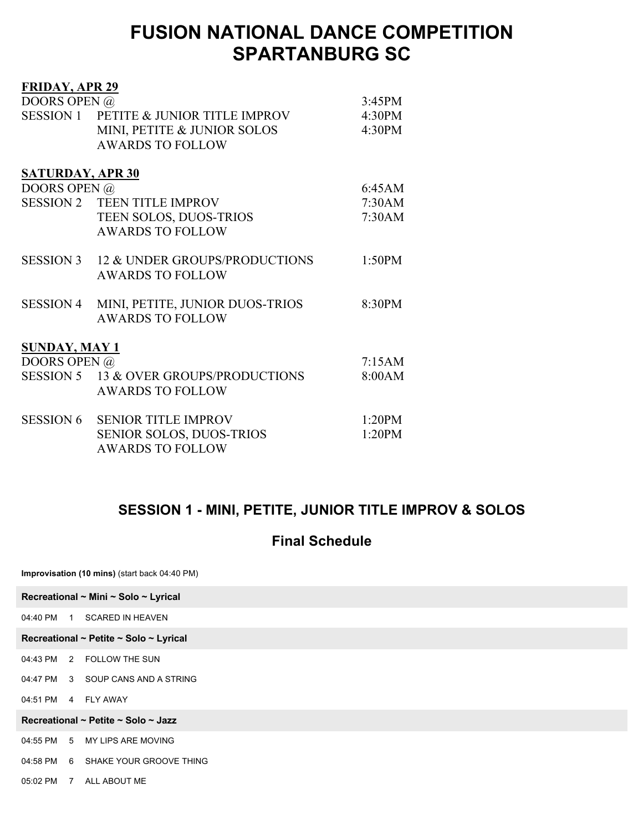| <b>FRIDAY, APR 29</b>   |                                         |        |
|-------------------------|-----------------------------------------|--------|
| DOORS OPEN @            |                                         | 3:45PM |
|                         | SESSION 1 PETITE & JUNIOR TITLE IMPROV  | 4:30PM |
|                         | MINI, PETITE & JUNIOR SOLOS             | 4:30PM |
|                         | <b>AWARDS TO FOLLOW</b>                 |        |
|                         |                                         |        |
| <b>SATURDAY, APR 30</b> |                                         |        |
| DOORS OPEN @            |                                         | 6:45AM |
|                         | <b>SESSION 2 TEEN TITLE IMPROV</b>      | 7:30AM |
|                         | TEEN SOLOS, DUOS-TRIOS                  | 7:30AM |
|                         | <b>AWARDS TO FOLLOW</b>                 |        |
|                         |                                         |        |
|                         | SESSION 3 12 & UNDER GROUPS/PRODUCTIONS | 1:50PM |
|                         | <b>AWARDS TO FOLLOW</b>                 |        |
|                         |                                         |        |
| <b>SESSION 4</b>        | MINI, PETITE, JUNIOR DUOS-TRIOS         | 8:30PM |
|                         | <b>AWARDS TO FOLLOW</b>                 |        |
|                         |                                         |        |
| <b>SUNDAY, MAY 1</b>    |                                         |        |
| DOORS OPEN @            |                                         | 7:15AM |
|                         | SESSION 5 13 & OVER GROUPS/PRODUCTIONS  | 8:00AM |
|                         | <b>AWARDS TO FOLLOW</b>                 |        |
|                         |                                         |        |
| <b>SESSION 6</b>        | <b>SENIOR TITLE IMPROV</b>              | 1:20PM |
|                         | <b>SENIOR SOLOS, DUOS-TRIOS</b>         | 1:20PM |
|                         | <b>AWARDS TO FOLLOW</b>                 |        |
|                         |                                         |        |

### **SESSION 1 - MINI, PETITE, JUNIOR TITLE IMPROV & SOLOS**

#### **Final Schedule**

**Improvisation (10 mins)** (start back 04:40 PM)

|  | Recreational ~ Mini ~ Solo ~ Lyrical   |
|--|----------------------------------------|
|  | 04:40 PM 1 SCARED IN HEAVEN            |
|  | Recreational ~ Petite ~ Solo ~ Lyrical |
|  | 04:43 PM 2 FOLLOW THE SUN              |
|  | 04:47 PM 3 SOUP CANS AND A STRING      |
|  | 04:51 PM 4 FLY AWAY                    |
|  | Recreational ~ Petite ~ Solo ~ Jazz    |
|  | 04:55 PM 5 MY LIPS ARE MOVING          |
|  | 04:58 PM 6 SHAKE YOUR GROOVE THING     |
|  | 05:02 PM 7 ALL ABOUT ME                |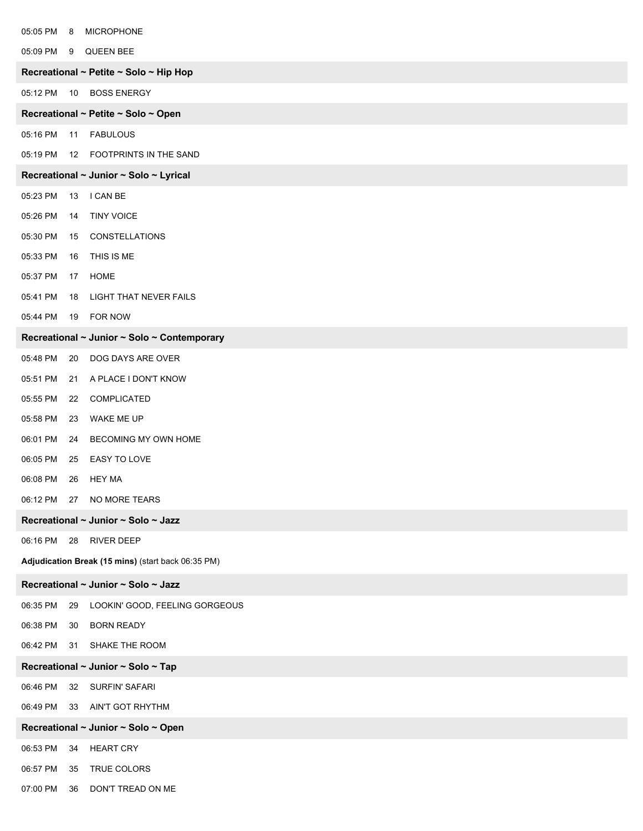| 05:05 PM                            | $_{\rm 8}$ | <b>MICROPHONE</b>                                  |
|-------------------------------------|------------|----------------------------------------------------|
| 05:09 PM 9                          |            | QUEEN BEE                                          |
|                                     |            | Recreational ~ Petite ~ Solo ~ Hip Hop             |
| 05:12 PM                            | 10         | <b>BOSS ENERGY</b>                                 |
|                                     |            | Recreational ~ Petite ~ Solo ~ Open                |
| 05:16 PM 11                         |            | <b>FABULOUS</b>                                    |
| 05:19 PM                            | 12         | FOOTPRINTS IN THE SAND                             |
|                                     |            | Recreational ~ Junior ~ Solo ~ Lyrical             |
| 05:23 PM                            | 13         | I CAN BE                                           |
| 05:26 PM                            | 14         | <b>TINY VOICE</b>                                  |
| 05:30 PM                            | 15         | <b>CONSTELLATIONS</b>                              |
| 05:33 PM                            | 16         | THIS IS ME                                         |
| 05:37 PM                            | 17         | HOME                                               |
| 05:41 PM                            | 18         | <b>LIGHT THAT NEVER FAILS</b>                      |
| 05:44 PM                            | 19         | FOR NOW                                            |
|                                     |            | Recreational ~ Junior ~ Solo ~ Contemporary        |
| 05:48 PM                            | 20         | DOG DAYS ARE OVER                                  |
| 05:51 PM                            | 21         | A PLACE I DON'T KNOW                               |
| 05:55 PM                            | 22         | COMPLICATED                                        |
| 05:58 PM                            | 23         | WAKE ME UP                                         |
| 06:01 PM                            | 24         | BECOMING MY OWN HOME                               |
| 06:05 PM                            | 25         | EASY TO LOVE                                       |
| 06:08 PM                            | 26         | <b>HEY MA</b>                                      |
| 06:12 PM 27                         |            | NO MORE TEARS                                      |
|                                     |            | Recreational ~ Junior ~ Solo ~ Jazz                |
| 06:16 PM 28                         |            | <b>RIVER DEEP</b>                                  |
|                                     |            | Adjudication Break (15 mins) (start back 06:35 PM) |
|                                     |            | Recreational ~ Junior ~ Solo ~ Jazz                |
| 06:35 PM                            | 29         | LOOKIN' GOOD, FEELING GORGEOUS                     |
| 06:38 PM                            | 30         | <b>BORN READY</b>                                  |
| 06:42 PM                            | 31         | SHAKE THE ROOM                                     |
|                                     |            | Recreational ~ Junior ~ Solo ~ Tap                 |
| 06:46 PM                            | 32         | SURFIN' SAFARI                                     |
| 06:49 PM 33                         |            | AIN'T GOT RHYTHM                                   |
| Recreational ~ Junior ~ Solo ~ Open |            |                                                    |
| 06:53 PM                            | 34         | <b>HEART CRY</b>                                   |
| 06:57 PM                            | 35         | TRUE COLORS                                        |
| 07:00 PM 36                         |            | DON'T TREAD ON ME                                  |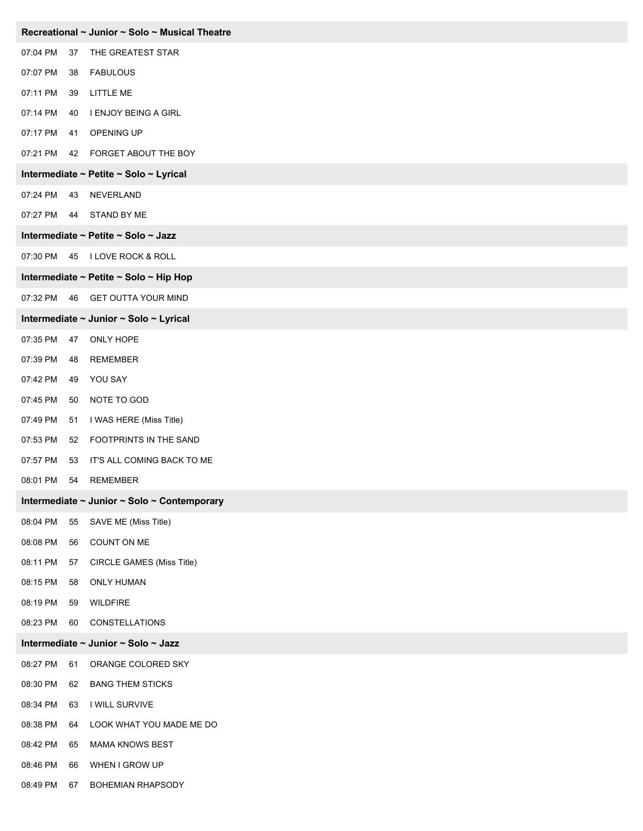| Recreational ~ Junior ~ Solo ~ Musical Theatre |    |                                             |
|------------------------------------------------|----|---------------------------------------------|
| 07:04 PM                                       | 37 | THE GREATEST STAR                           |
| 07:07 PM                                       | 38 | <b>FABULOUS</b>                             |
| 07:11 PM                                       | 39 | <b>LITTLE ME</b>                            |
| 07:14 PM                                       | 40 | I ENJOY BEING A GIRL                        |
| 07:17 PM                                       | 41 | OPENING UP                                  |
| 07:21 PM                                       | 42 | FORGET ABOUT THE BOY                        |
|                                                |    | Intermediate ~ Petite ~ Solo ~ Lyrical      |
| 07:24 PM                                       | 43 | NEVERLAND                                   |
| 07:27 PM 44                                    |    | STAND BY ME                                 |
|                                                |    | Intermediate ~ Petite ~ Solo ~ Jazz         |
| 07:30 PM                                       | 45 | <b>I LOVE ROCK &amp; ROLL</b>               |
|                                                |    | Intermediate ~ Petite ~ Solo ~ Hip Hop      |
|                                                |    | 07:32 PM 46 GET OUTTA YOUR MIND             |
|                                                |    | Intermediate ~ Junior ~ Solo ~ Lyrical      |
| 07:35 PM                                       | 47 | ONLY HOPE                                   |
| 07:39 PM                                       | 48 | <b>REMEMBER</b>                             |
| 07:42 PM                                       | 49 | YOU SAY                                     |
| 07:45 PM                                       | 50 | NOTE TO GOD                                 |
| 07:49 PM                                       | 51 | I WAS HERE (Miss Title)                     |
| 07:53 PM                                       | 52 | FOOTPRINTS IN THE SAND                      |
| 07:57 PM                                       | 53 | IT'S ALL COMING BACK TO ME                  |
| 08:01 PM                                       | 54 | <b>REMEMBER</b>                             |
|                                                |    | Intermediate ~ Junior ~ Solo ~ Contemporary |
| 08:04 PM                                       | 55 | SAVE ME (Miss Title)                        |
| 08:08 PM                                       | 56 | COUNT ON ME                                 |
| 08:11 PM                                       | 57 | CIRCLE GAMES (Miss Title)                   |
| 08:15 PM                                       | 58 | <b>ONLY HUMAN</b>                           |
| 08:19 PM                                       | 59 | <b>WILDFIRE</b>                             |
| 08:23 PM                                       | 60 | <b>CONSTELLATIONS</b>                       |
|                                                |    | Intermediate ~ Junior ~ Solo ~ Jazz         |
| 08:27 PM                                       | 61 | ORANGE COLORED SKY                          |
| 08:30 PM                                       | 62 | <b>BANG THEM STICKS</b>                     |
| 08:34 PM                                       | 63 | I WILL SURVIVE                              |
| 08:38 PM                                       | 64 | LOOK WHAT YOU MADE ME DO                    |
| 08:42 PM                                       | 65 | MAMA KNOWS BEST                             |
| 08:46 PM                                       | 66 | WHEN I GROW UP                              |
| 08:49 PM                                       | 67 | <b>BOHEMIAN RHAPSODY</b>                    |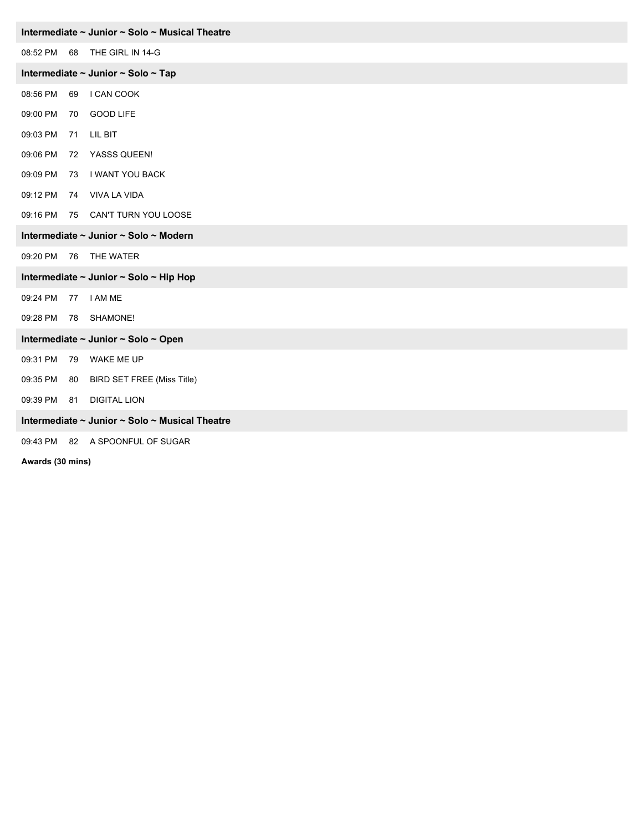| Intermediate ~ Junior ~ Solo ~ Musical Theatre |    |                                                |  |
|------------------------------------------------|----|------------------------------------------------|--|
| 08:52 PM 68                                    |    | THE GIRL IN 14-G                               |  |
|                                                |    | Intermediate ~ Junior ~ Solo ~ Tap             |  |
| 08:56 PM                                       | 69 | I CAN COOK                                     |  |
| 09:00 PM                                       | 70 | <b>GOOD LIFE</b>                               |  |
| 09:03 PM                                       | 71 | LIL BIT                                        |  |
| 09:06 PM                                       |    | 72 YASSS QUEEN!                                |  |
| 09:09 PM                                       | 73 | I WANT YOU BACK                                |  |
| 09:12 PM                                       |    | 74 VIVA LA VIDA                                |  |
|                                                |    | 09:16 PM 75 CAN'T TURN YOU LOOSE               |  |
|                                                |    | Intermediate ~ Junior ~ Solo ~ Modern          |  |
|                                                |    | 09:20 PM 76 THE WATER                          |  |
| Intermediate ~ Junior ~ Solo ~ Hip Hop         |    |                                                |  |
| 09:24 PM                                       | 77 | I AM ME                                        |  |
| 09:28 PM                                       | 78 | SHAMONE!                                       |  |
|                                                |    | Intermediate ~ Junior ~ Solo ~ Open            |  |
| 09:31 PM                                       | 79 | WAKE ME UP                                     |  |
| 09:35 PM 80                                    |    | <b>BIRD SET FREE (Miss Title)</b>              |  |
| 09:39 PM 81                                    |    | <b>DIGITAL LION</b>                            |  |
|                                                |    | Intermediate ~ Junior ~ Solo ~ Musical Theatre |  |
|                                                |    | 09:43 PM 82 A SPOONFUL OF SUGAR                |  |
| Awards (30 mins)                               |    |                                                |  |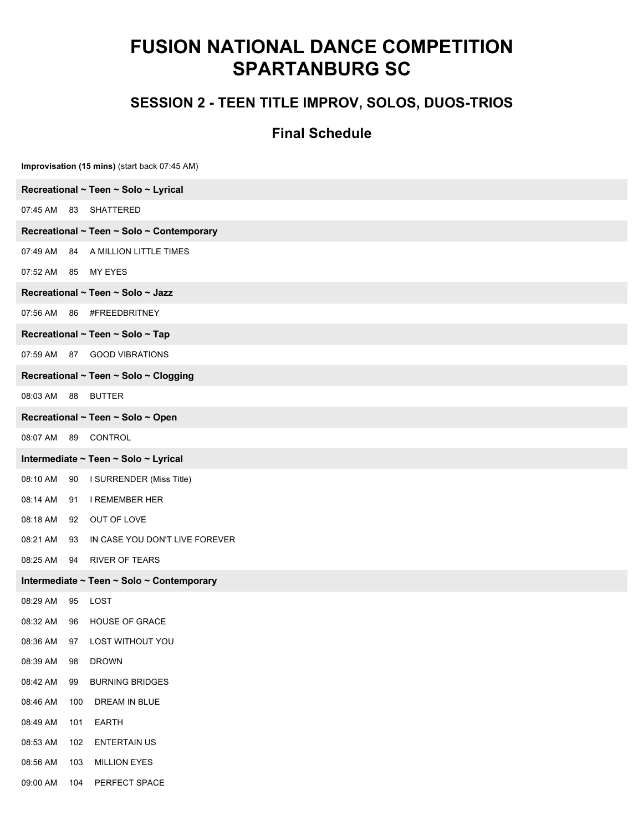### **SESSION 2 - TEEN TITLE IMPROV, SOLOS, DUOS-TRIOS**

|                     | Improvisation (15 mins) (start back 07:45 AM) |
|---------------------|-----------------------------------------------|
|                     | Recreational ~ Teen ~ Solo ~ Lyrical          |
|                     | 07:45 AM 83 SHATTERED                         |
|                     | Recreational ~ Teen ~ Solo ~ Contemporary     |
| 07:49 AM            | 84 A MILLION LITTLE TIMES                     |
| 07:52 AM 85 MY EYES |                                               |
|                     | Recreational ~ Teen ~ Solo ~ Jazz             |
| 07:56 AM            | 86 #FREEDBRITNEY                              |
|                     | Recreational ~ Teen ~ Solo ~ Tap              |
|                     | 07:59 AM 87 GOOD VIBRATIONS                   |
|                     | Recreational ~ Teen ~ Solo ~ Clogging         |
| 08:03 AM 88 BUTTER  |                                               |
|                     | Recreational ~ Teen ~ Solo ~ Open             |
|                     | 08:07 AM 89 CONTROL                           |
|                     | Intermediate ~ Teen ~ Solo ~ Lyrical          |
| 08:10 AM            | 90 I SURRENDER (Miss Title)                   |
| 08:14 AM<br>91      | <b>I REMEMBER HER</b>                         |
|                     | 08:18 AM 92 OUT OF LOVE                       |
| 08:21 AM            | 93 IN CASE YOU DON'T LIVE FOREVER             |
|                     | 08:25 AM 94 RIVER OF TEARS                    |
|                     | Intermediate ~ Teen ~ Solo ~ Contemporary     |
| 08:29 AM<br>95      | LOST                                          |
|                     | 08:32 AM 96 HOUSE OF GRACE                    |
| 08:36 AM<br>97      | LOST WITHOUT YOU                              |
| 08:39 AM<br>98      | <b>DROWN</b>                                  |
| 08:42 AM<br>99      | <b>BURNING BRIDGES</b>                        |
| 08:46 AM            | 100<br>DREAM IN BLUE                          |
| 08:49 AM<br>101     | <b>EARTH</b>                                  |
| 08:53 AM            | <b>ENTERTAIN US</b><br>102                    |
| 08:56 AM<br>103     | <b>MILLION EYES</b>                           |
| 09:00 AM            | PERFECT SPACE<br>104                          |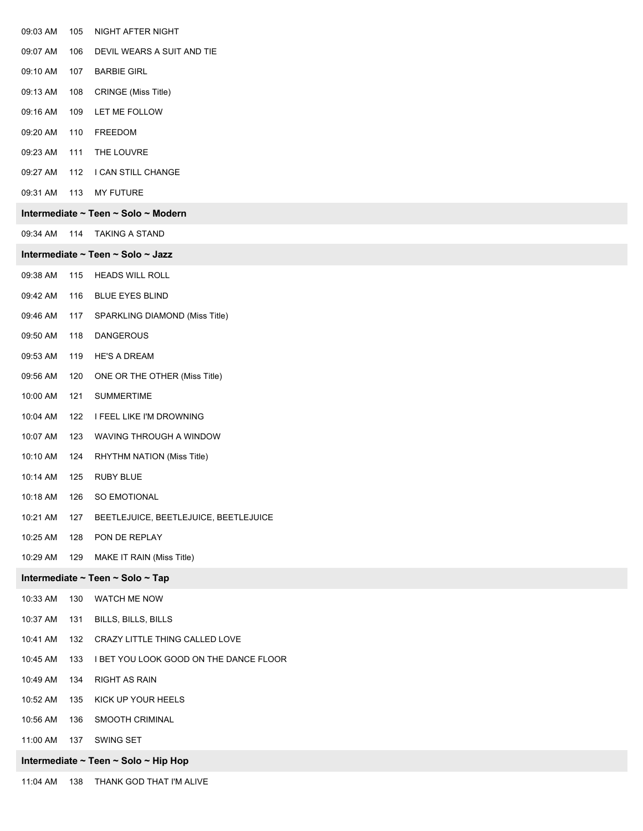| 09:03 AM | 105 | NIGHT AFTER NIGHT                      |
|----------|-----|----------------------------------------|
| 09:07 AM | 106 | DEVIL WEARS A SUIT AND TIE             |
| 09:10 AM | 107 | <b>BARBIE GIRL</b>                     |
| 09:13 AM | 108 | <b>CRINGE</b> (Miss Title)             |
| 09:16 AM | 109 | LET ME FOLLOW                          |
| 09:20 AM | 110 | FREEDOM                                |
| 09:23 AM | 111 | THE LOUVRE                             |
| 09:27 AM | 112 | I CAN STILL CHANGE                     |
| 09:31 AM | 113 | <b>MY FUTURE</b>                       |
|          |     | Intermediate ~ Teen ~ Solo ~ Modern    |
| 09:34 AM | 114 | <b>TAKING A STAND</b>                  |
|          |     | Intermediate ~ Teen ~ Solo ~ Jazz      |
| 09:38 AM | 115 | <b>HEADS WILL ROLL</b>                 |
| 09:42 AM | 116 | <b>BLUE EYES BLIND</b>                 |
| 09:46 AM | 117 | SPARKLING DIAMOND (Miss Title)         |
| 09:50 AM | 118 | <b>DANGEROUS</b>                       |
| 09:53 AM | 119 | <b>HE'S A DREAM</b>                    |
| 09:56 AM | 120 | ONE OR THE OTHER (Miss Title)          |
| 10:00 AM | 121 | <b>SUMMERTIME</b>                      |
| 10:04 AM | 122 | I FEEL LIKE I'M DROWNING               |
| 10:07 AM | 123 | WAVING THROUGH A WINDOW                |
| 10:10 AM | 124 | RHYTHM NATION (Miss Title)             |
| 10:14 AM | 125 | <b>RUBY BLUE</b>                       |
| 10:18 AM | 126 | SO EMOTIONAL                           |
| 10:21 AM | 127 | BEETLEJUICE, BEETLEJUICE, BEETLEJUICE  |
| 10:25 AM | 128 | PON DE REPLAY                          |
| 10:29 AM | 129 | MAKE IT RAIN (Miss Title)              |
|          |     | Intermediate ~ Teen ~ Solo ~ Tap       |
| 10:33 AM | 130 | WATCH ME NOW                           |
| 10:37 AM | 131 | BILLS, BILLS, BILLS                    |
| 10:41 AM | 132 | CRAZY LITTLE THING CALLED LOVE         |
| 10:45 AM | 133 | I BET YOU LOOK GOOD ON THE DANCE FLOOR |
| 10:49 AM | 134 | RIGHT AS RAIN                          |
| 10:52 AM | 135 | KICK UP YOUR HEELS                     |
| 10:56 AM | 136 | SMOOTH CRIMINAL                        |
| 11:00 AM | 137 | SWING SET                              |
|          |     | Intermediate ~ Teen ~ Solo ~ Hip Hop   |
| 11:04 AM | 138 | THANK GOD THAT I'M ALIVE               |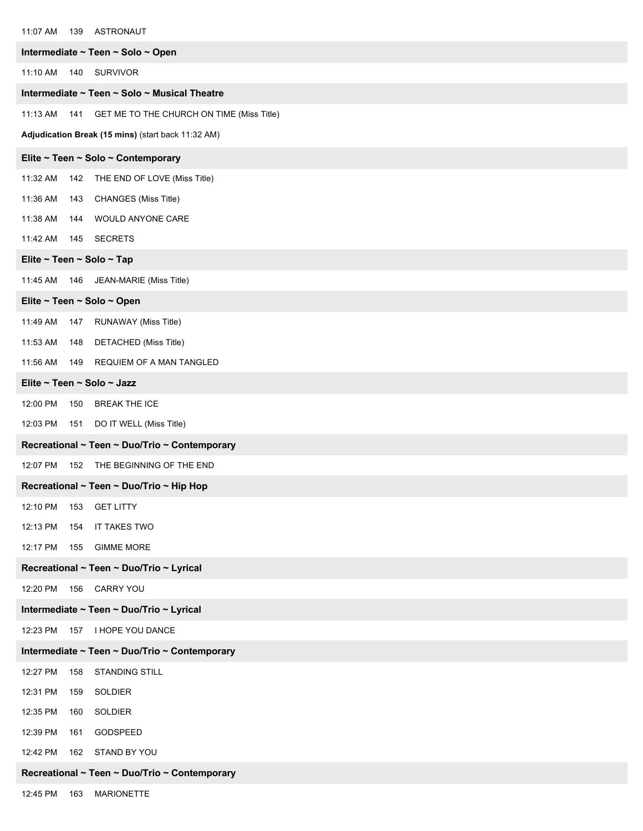| 11:07 AM                   | 139 ASTRONAUT                                      |
|----------------------------|----------------------------------------------------|
|                            | Intermediate ~ Teen ~ Solo ~ Open                  |
| 11:10 AM                   | 140 SURVIVOR                                       |
|                            | Intermediate ~ Teen ~ Solo ~ Musical Theatre       |
| 11:13 AM<br>141            | GET ME TO THE CHURCH ON TIME (Miss Title)          |
|                            | Adjudication Break (15 mins) (start back 11:32 AM) |
|                            | Elite ~ Teen ~ Solo ~ Contemporary                 |
| 11:32 AM                   | 142 THE END OF LOVE (Miss Title)                   |
| 11:36 AM<br>143            | CHANGES (Miss Title)                               |
| 11:38 AM<br>144            | WOULD ANYONE CARE                                  |
| 11:42 AM                   | 145 SECRETS                                        |
| Elite ~ Teen ~ Solo ~ Tap  |                                                    |
| 11:45 AM                   | 146 JEAN-MARIE (Miss Title)                        |
| Elite ~ Teen ~ Solo ~ Open |                                                    |
| 11:49 AM<br>147            | RUNAWAY (Miss Title)                               |
| 11:53 AM<br>148            | DETACHED (Miss Title)                              |
| 11:56 AM                   | 149 REQUIEM OF A MAN TANGLED                       |
| Elite ~ Teen ~ Solo ~ Jazz |                                                    |
| 12:00 PM<br>150            | <b>BREAK THE ICE</b>                               |
|                            | 12:03 PM 151 DO IT WELL (Miss Title)               |
|                            | Recreational ~ Teen ~ Duo/Trio ~ Contemporary      |
| 12:07 PM                   | 152 THE BEGINNING OF THE END                       |
|                            | Recreational ~ Teen ~ Duo/Trio ~ Hip Hop           |
| 12:10 PM<br>153            | <b>GET LITTY</b>                                   |
| 12:13 PM<br>154            | IT TAKES TWO                                       |
| 12:17 PM<br>155            | <b>GIMME MORE</b>                                  |
|                            | Recreational ~ Teen ~ Duo/Trio ~ Lyrical           |
| 12:20 PM<br>156            | CARRY YOU                                          |
|                            | Intermediate ~ Teen ~ Duo/Trio ~ Lyrical           |
| 12:23 PM<br>157            | I HOPE YOU DANCE                                   |
|                            | Intermediate ~ Teen ~ Duo/Trio ~ Contemporary      |
| 12:27 PM<br>158            | <b>STANDING STILL</b>                              |
| 12:31 PM<br>159            | SOLDIER                                            |
| 12:35 PM<br>160            | <b>SOLDIER</b>                                     |
| 12:39 PM<br>161            | GODSPEED                                           |
| 12:42 PM<br>162            | STAND BY YOU                                       |
|                            | Recreational ~ Teen ~ Duo/Trio ~ Contemporary      |
| 12:45 PM<br>163            | <b>MARIONETTE</b>                                  |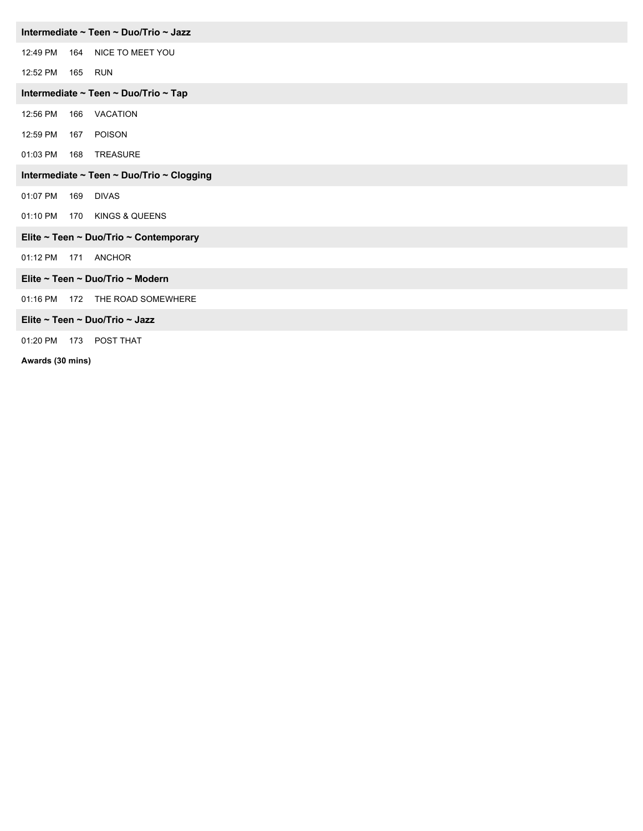| Intermediate ~ Teen ~ Duo/Trio ~ Jazz     |     |                                        |  |
|-------------------------------------------|-----|----------------------------------------|--|
| 12:49 PM                                  |     | 164 NICE TO MEET YOU                   |  |
| 12:52 PM                                  |     | 165 RUN                                |  |
|                                           |     | Intermediate ~ Teen ~ Duo/Trio ~ Tap   |  |
| 12:56 PM                                  |     | 166 VACATION                           |  |
| 12:59 PM                                  |     | 167 POISON                             |  |
| 01:03 PM                                  |     | 168 TREASURE                           |  |
| Intermediate ~ Teen ~ Duo/Trio ~ Clogging |     |                                        |  |
| 01:07 PM                                  |     | 169 DIVAS                              |  |
| 01:10 PM                                  |     | 170 KINGS & QUEENS                     |  |
|                                           |     | Elite ~ Teen ~ Duo/Trio ~ Contemporary |  |
| 01:12 PM                                  |     | 171 ANCHOR                             |  |
|                                           |     | Elite ~ Teen ~ Duo/Trio ~ Modern       |  |
| 01:16 PM                                  |     | 172 THE ROAD SOMEWHERE                 |  |
| Elite ~ Teen ~ Duo/Trio ~ Jazz            |     |                                        |  |
| 01:20 PM                                  | 173 | POST THAT                              |  |

**Awards (30 mins)**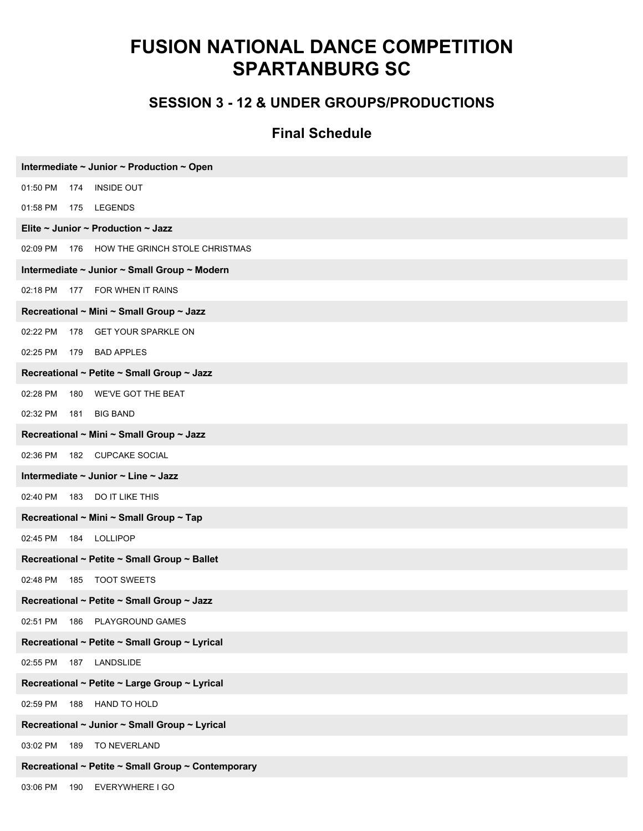### **SESSION 3 - 12 & UNDER GROUPS/PRODUCTIONS**

| Intermediate ~ Junior ~ Production ~ Open          |
|----------------------------------------------------|
| 01:50 PM<br><b>INSIDE OUT</b><br>174               |
| 01:58 PM<br>175 LEGENDS                            |
| Elite ~ Junior ~ Production ~ Jazz                 |
| 02:09 PM<br>176 HOW THE GRINCH STOLE CHRISTMAS     |
| Intermediate ~ Junior ~ Small Group ~ Modern       |
| 177 FOR WHEN IT RAINS<br>02:18 PM                  |
| Recreational ~ Mini ~ Small Group ~ Jazz           |
| 178 GET YOUR SPARKLE ON<br>02:22 PM                |
| <b>BAD APPLES</b><br>02:25 PM<br>179               |
| Recreational ~ Petite ~ Small Group ~ Jazz         |
| 02:28 PM<br>180 WE'VE GOT THE BEAT                 |
| 02:32 PM<br><b>BIG BAND</b><br>181                 |
| Recreational ~ Mini ~ Small Group ~ Jazz           |
| 02:36 PM<br>182 CUPCAKE SOCIAL                     |
| Intermediate ~ Junior ~ Line ~ Jazz                |
| 02:40 PM 183<br>DO IT LIKE THIS                    |
| Recreational ~ Mini ~ Small Group ~ Tap            |
| 02:45 PM<br>184 LOLLIPOP                           |
| Recreational ~ Petite ~ Small Group ~ Ballet       |
| 02:48 PM<br><b>TOOT SWEETS</b><br>185              |
| Recreational ~ Petite ~ Small Group ~ Jazz         |
| 02:51 PM<br>186 PLAYGROUND GAMES                   |
| Recreational ~ Petite ~ Small Group ~ Lyrical      |
| 02:55 PM 187 LANDSLIDE                             |
| Recreational ~ Petite ~ Large Group ~ Lyrical      |
| HAND TO HOLD<br>02:59 PM 188                       |
| Recreational ~ Junior ~ Small Group ~ Lyrical      |
| 189 TO NEVERLAND<br>03:02 PM                       |
| Recreational ~ Petite ~ Small Group ~ Contemporary |
| 03:06 PM 190 EVERYWHERE I GO                       |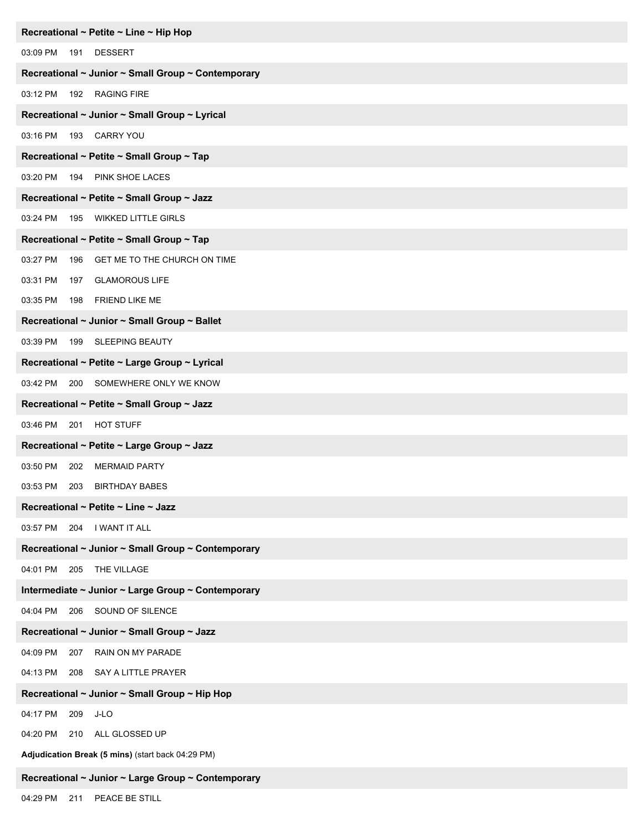| Recreational ~ Petite ~ Line ~ Hip Hop             |
|----------------------------------------------------|
| 03:09 PM 191<br><b>DESSERT</b>                     |
| Recreational ~ Junior ~ Small Group ~ Contemporary |
| 03:12 PM<br>192 RAGING FIRE                        |
| Recreational ~ Junior ~ Small Group ~ Lyrical      |
| 03:16 PM  193  CARRY YOU                           |
| Recreational ~ Petite ~ Small Group ~ Tap          |
| 03:20 PM 194 PINK SHOE LACES                       |
| Recreational ~ Petite ~ Small Group ~ Jazz         |
| 03:24 PM 195 WIKKED LITTLE GIRLS                   |
| Recreational ~ Petite ~ Small Group ~ Tap          |
| 03:27 PM<br>GET ME TO THE CHURCH ON TIME<br>196    |
| 03:31 PM<br><b>GLAMOROUS LIFE</b><br>197           |
| 03:35 PM 198<br><b>FRIEND LIKE ME</b>              |
| Recreational ~ Junior ~ Small Group ~ Ballet       |
| 03:39 PM 199 SLEEPING BEAUTY                       |
| Recreational ~ Petite ~ Large Group ~ Lyrical      |
| 200 SOMEWHERE ONLY WE KNOW<br>03:42 PM             |
| Recreational ~ Petite ~ Small Group ~ Jazz         |
| 03:46 PM 201 HOT STUFF                             |
| Recreational ~ Petite ~ Large Group ~ Jazz         |
| 03:50 PM<br><b>MERMAID PARTY</b><br>202            |
| 03:53 PM 203 BIRTHDAY BABES                        |
| Recreational ~ Petite ~ Line ~ Jazz                |
| 204 I WANT IT ALL<br>03:57 PM                      |
| Recreational ~ Junior ~ Small Group ~ Contemporary |
| 04:01 PM<br>205 THE VILLAGE                        |
| Intermediate ~ Junior ~ Large Group ~ Contemporary |
| 04:04 PM 206 SOUND OF SILENCE                      |
| Recreational ~ Junior ~ Small Group ~ Jazz         |
| 04:09 PM<br>RAIN ON MY PARADE<br>207               |
| 04:13 PM<br>SAY A LITTLE PRAYER<br>208             |
| Recreational ~ Junior ~ Small Group ~ Hip Hop      |
| 04:17 PM<br>J-LO<br>209                            |
| 04:20 PM 210 ALL GLOSSED UP                        |
| Adjudication Break (5 mins) (start back 04:29 PM)  |
| Recreational ~ Junior ~ Large Group ~ Contemporary |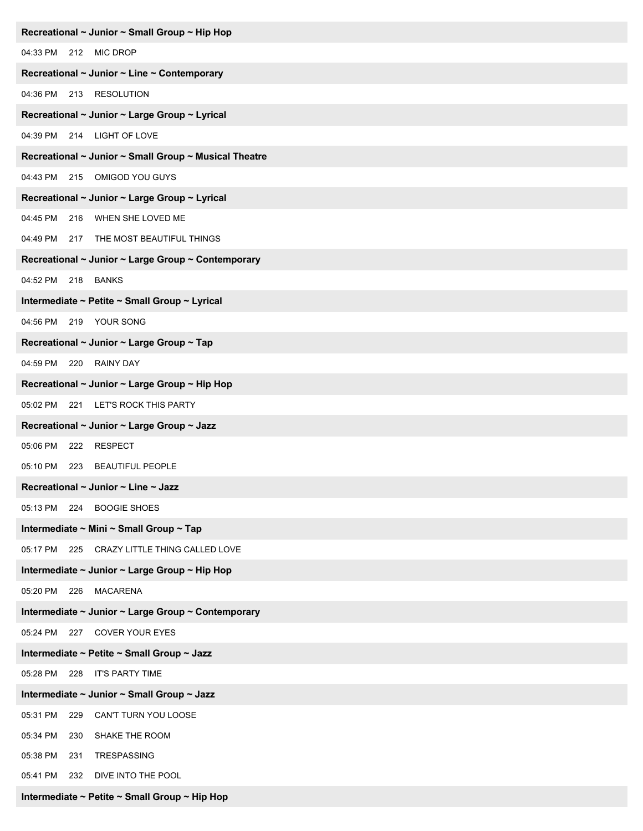| Recreational ~ Junior ~ Small Group ~ Hip Hop         |
|-------------------------------------------------------|
| 04:33 PM 212 MIC DROP                                 |
| Recreational ~ Junior ~ Line ~ Contemporary           |
| 04:36 PM 213 RESOLUTION                               |
| Recreational ~ Junior ~ Large Group ~ Lyrical         |
| 04:39 PM 214 LIGHT OF LOVE                            |
| Recreational ~ Junior ~ Small Group ~ Musical Theatre |
| 04:43 PM 215 OMIGOD YOU GUYS                          |
| Recreational ~ Junior ~ Large Group ~ Lyrical         |
| 04:45 PM<br>216 WHEN SHE LOVED ME                     |
| 04:49 PM 217 THE MOST BEAUTIFUL THINGS                |
| Recreational ~ Junior ~ Large Group ~ Contemporary    |
| 04:52 PM 218<br><b>BANKS</b>                          |
| Intermediate ~ Petite ~ Small Group ~ Lyrical         |
| 04:56 PM 219 YOUR SONG                                |
| Recreational ~ Junior ~ Large Group ~ Tap             |
| 04:59 PM 220 RAINY DAY                                |
| Recreational ~ Junior ~ Large Group ~ Hip Hop         |
| 05:02 PM 221 LET'S ROCK THIS PARTY                    |
| Recreational ~ Junior ~ Large Group ~ Jazz            |
| 05:06 PM<br>222 RESPECT                               |
| <b>BEAUTIFUL PEOPLE</b><br>05:10 PM<br>223            |
| Recreational ~ Junior ~ Line ~ Jazz                   |
| 05:13 PM 224<br><b>BOOGIE SHOES</b>                   |
| Intermediate ~ Mini ~ Small Group ~ Tap               |
| 05:17 PM 225 CRAZY LITTLE THING CALLED LOVE           |
| Intermediate ~ Junior ~ Large Group ~ Hip Hop         |
| 05:20 PM 226 MACARENA                                 |
| Intermediate ~ Junior ~ Large Group ~ Contemporary    |
| 05:24 PM 227 COVER YOUR EYES                          |
| Intermediate ~ Petite ~ Small Group ~ Jazz            |
| 05:28 PM 228 IT'S PARTY TIME                          |
| Intermediate ~ Junior ~ Small Group ~ Jazz            |
| 05:31 PM<br>229<br>CAN'T TURN YOU LOOSE               |
| SHAKE THE ROOM<br>05:34 PM<br>230                     |
| 05:38 PM<br>231<br>TRESPASSING                        |
| 05:41 PM<br>DIVE INTO THE POOL<br>232                 |
| Intermediate ~ Petite ~ Small Group ~ Hip Hop         |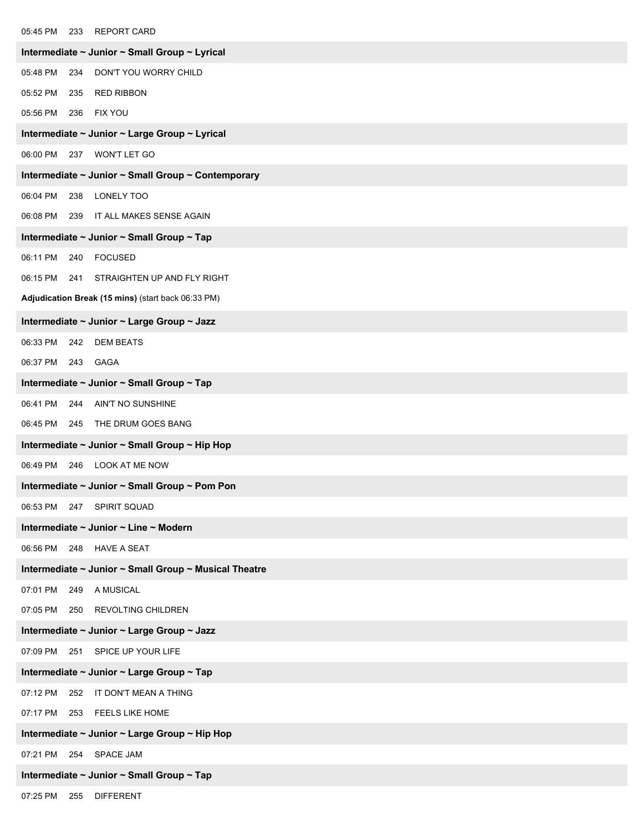| 05:45 PM<br>233 REPORT CARD                           |  |  |
|-------------------------------------------------------|--|--|
| Intermediate ~ Junior ~ Small Group ~ Lyrical         |  |  |
| 05:48 PM<br>DON'T YOU WORRY CHILD<br>234              |  |  |
| <b>RED RIBBON</b><br>05:52 PM<br>235                  |  |  |
| 05:56 PM<br><b>FIX YOU</b><br>236                     |  |  |
| Intermediate ~ Junior ~ Large Group ~ Lyrical         |  |  |
| <b>WON'T LET GO</b><br>06:00 PM<br>237                |  |  |
| Intermediate ~ Junior ~ Small Group ~ Contemporary    |  |  |
| 238 LONELY TOO<br>06:04 PM                            |  |  |
| 239 IT ALL MAKES SENSE AGAIN<br>06:08 PM              |  |  |
| Intermediate ~ Junior ~ Small Group ~ Tap             |  |  |
| 06:11 PM<br><b>FOCUSED</b><br>240                     |  |  |
| 06:15 PM<br>241 STRAIGHTEN UP AND FLY RIGHT           |  |  |
| Adjudication Break (15 mins) (start back 06:33 PM)    |  |  |
| Intermediate ~ Junior ~ Large Group ~ Jazz            |  |  |
| <b>DEM BEATS</b><br>06:33 PM<br>242                   |  |  |
| 06:37 PM<br><b>GAGA</b><br>243                        |  |  |
| Intermediate ~ Junior ~ Small Group ~ Tap             |  |  |
| 06:41 PM<br>AIN'T NO SUNSHINE<br>244                  |  |  |
| 06:45 PM 245 THE DRUM GOES BANG                       |  |  |
| Intermediate ~ Junior ~ Small Group ~ Hip Hop         |  |  |
| 06:49 PM<br>246 LOOK AT ME NOW                        |  |  |
| Intermediate ~ Junior ~ Small Group ~ Pom Pon         |  |  |
| 06:53 PM 247<br>SPIRIT SQUAD                          |  |  |
| Intermediate ~ Junior ~ Line ~ Modern                 |  |  |
| 06:56 PM 248 HAVE A SEAT                              |  |  |
| Intermediate ~ Junior ~ Small Group ~ Musical Theatre |  |  |
| 07:01 PM<br>A MUSICAL<br>249                          |  |  |
| 07:05 PM<br>250 REVOLTING CHILDREN                    |  |  |
| Intermediate ~ Junior ~ Large Group ~ Jazz            |  |  |
| 251 SPICE UP YOUR LIFE<br>07:09 PM                    |  |  |
| Intermediate ~ Junior ~ Large Group ~ Tap             |  |  |
| 252 IT DON'T MEAN A THING<br>07:12 PM                 |  |  |
| 07:17 PM 253 FEELS LIKE HOME                          |  |  |
| Intermediate ~ Junior ~ Large Group ~ Hip Hop         |  |  |
| 254 SPACE JAM<br>07:21 PM                             |  |  |
| Intermediate ~ Junior ~ Small Group ~ Tap             |  |  |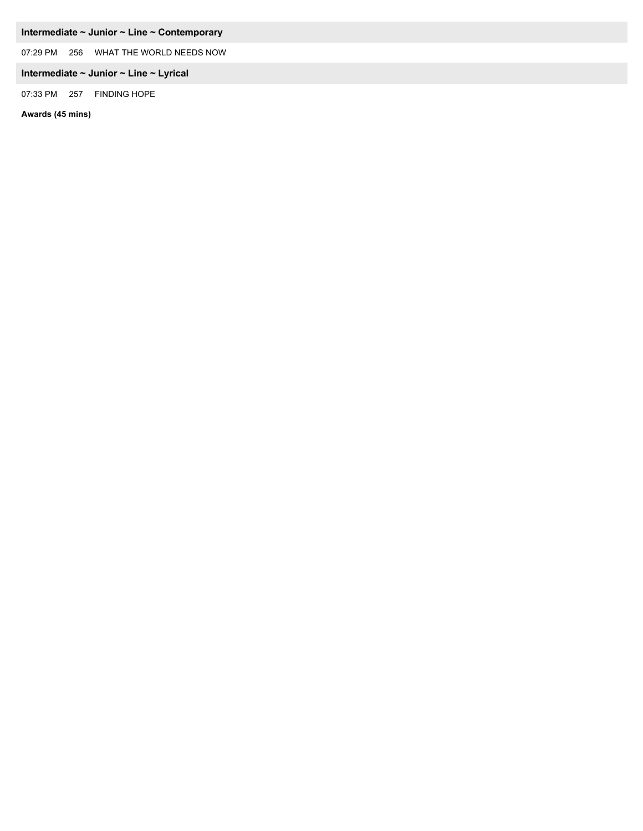#### **Intermediate ~ Junior ~ Line ~ Contemporary**

07:29 PM 256 WHAT THE WORLD NEEDS NOW

#### **Intermediate ~ Junior ~ Line ~ Lyrical**

07:33 PM 257 FINDING HOPE

**Awards (45 mins)**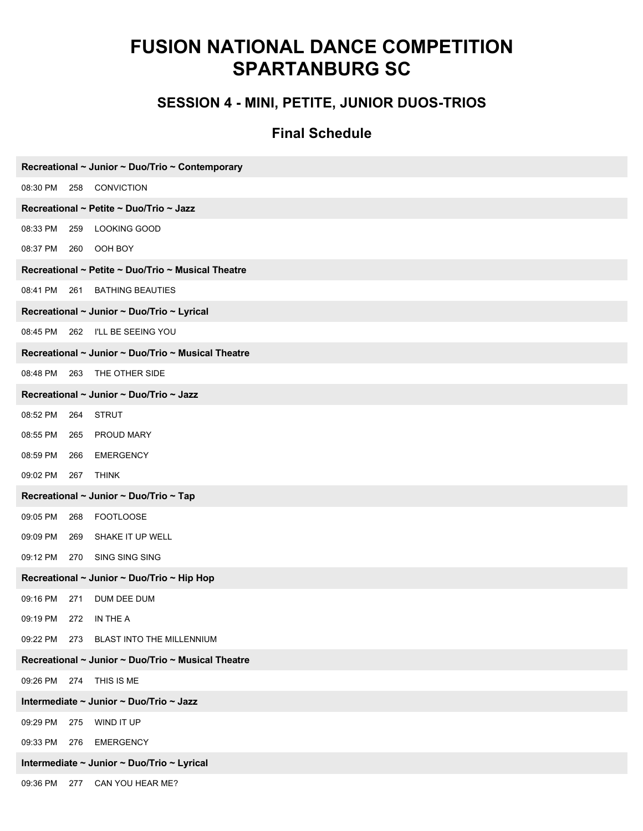### **SESSION 4 - MINI, PETITE, JUNIOR DUOS-TRIOS**

| Recreational ~ Junior ~ Duo/Trio ~ Contemporary    |  |  |
|----------------------------------------------------|--|--|
| 08:30 PM<br>258<br>CONVICTION                      |  |  |
| Recreational ~ Petite ~ Duo/Trio ~ Jazz            |  |  |
| 08:33 PM<br>259<br>LOOKING GOOD                    |  |  |
| OOH BOY<br>08:37 PM<br>260                         |  |  |
| Recreational ~ Petite ~ Duo/Trio ~ Musical Theatre |  |  |
| 08:41 PM<br>261 BATHING BEAUTIES                   |  |  |
| Recreational ~ Junior ~ Duo/Trio ~ Lyrical         |  |  |
| 08:45 PM 262 I'LL BE SEEING YOU                    |  |  |
| Recreational ~ Junior ~ Duo/Trio ~ Musical Theatre |  |  |
| 08:48 PM 263 THE OTHER SIDE                        |  |  |
| Recreational ~ Junior ~ Duo/Trio ~ Jazz            |  |  |
| 08:52 PM<br>264<br><b>STRUT</b>                    |  |  |
| 08:55 PM<br>265<br><b>PROUD MARY</b>               |  |  |
| 08:59 PM<br>266<br><b>EMERGENCY</b>                |  |  |
| 09:02 PM<br>267<br><b>THINK</b>                    |  |  |
| Recreational ~ Junior ~ Duo/Trio ~ Tap             |  |  |
| 09:05 PM<br><b>FOOTLOOSE</b><br>268                |  |  |
| 09:09 PM<br>SHAKE IT UP WELL<br>269                |  |  |
| 09:12 PM<br>270<br>SING SING SING                  |  |  |
| Recreational ~ Junior ~ Duo/Trio ~ Hip Hop         |  |  |
| 09:16 PM<br>DUM DEE DUM<br>271                     |  |  |
| 09:19 PM<br>272 IN THE A                           |  |  |
| 09:22 PM 273 BLAST INTO THE MILLENNIUM             |  |  |
| Recreational ~ Junior ~ Duo/Trio ~ Musical Theatre |  |  |
| 09:26 PM 274 THIS IS ME                            |  |  |
| Intermediate ~ Junior ~ Duo/Trio ~ Jazz            |  |  |
| WIND IT UP<br>09:29 PM<br>275                      |  |  |
| 09:33 PM<br><b>EMERGENCY</b><br>276                |  |  |
| Intermediate ~ Junior ~ Duo/Trio ~ Lyrical         |  |  |
| CAN YOU HEAR ME?<br>09:36 PM 277                   |  |  |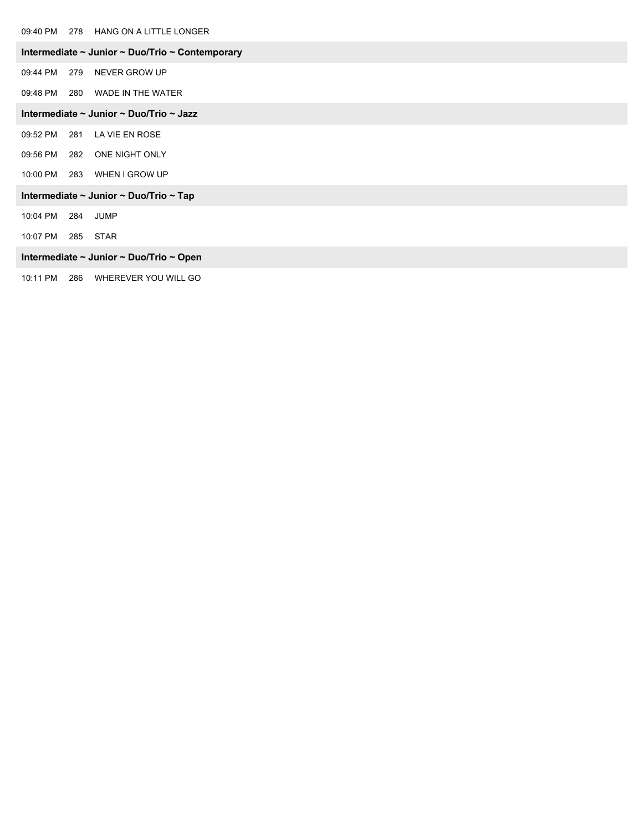09:40 PM 278 HANG ON A LITTLE LONGER

|  |          |     | 09:40 PM 2/8 HANG ON A LITTLE LONGER                           |
|--|----------|-----|----------------------------------------------------------------|
|  |          |     | Intermediate $\sim$ Junior $\sim$ Duo/Trio $\sim$ Contemporary |
|  | 09:44 PM | 279 | NEVER GROW UP                                                  |
|  | 09:48 PM |     | 280 WADE IN THE WATER                                          |
|  |          |     | Intermediate ~ Junior ~ Duo/Trio ~ Jazz                        |
|  | 09:52 PM |     | 281 LA VIE EN ROSE                                             |
|  | 09:56 PM |     | 282 ONE NIGHT ONLY                                             |
|  | 10:00 PM |     | 283 WHEN I GROW UP                                             |
|  |          |     | Intermediate ~ Junior ~ Duo/Trio ~ Tap                         |
|  | 10:04 PM | 284 | JUMP                                                           |
|  |          |     |                                                                |

10:07 PM 285 STAR

#### **Intermediate ~ Junior ~ Duo/Trio ~ Open**

10:11 PM 286 WHEREVER YOU WILL GO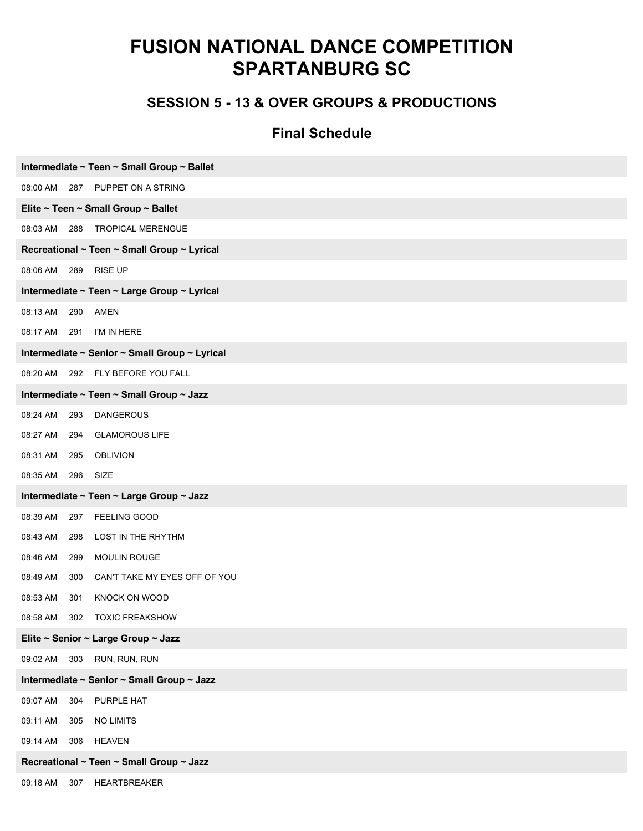#### **SESSION 5 - 13 & OVER GROUPS & PRODUCTIONS**

| Intermediate ~ Teen ~ Small Group ~ Ballet       |  |  |
|--------------------------------------------------|--|--|
| PUPPET ON A STRING<br>08:00 AM<br>287            |  |  |
| Elite ~ Teen ~ Small Group ~ Ballet              |  |  |
| 08:03 AM<br>288<br><b>TROPICAL MERENGUE</b>      |  |  |
| Recreational ~ Teen ~ Small Group ~ Lyrical      |  |  |
| <b>RISE UP</b><br>08:06 AM<br>289                |  |  |
| Intermediate ~ Teen ~ Large Group ~ Lyrical      |  |  |
| 08:13 AM<br>290<br><b>AMEN</b>                   |  |  |
| 08:17 AM<br>I'M IN HERE<br>291                   |  |  |
| Intermediate ~ Senior ~ Small Group ~ Lyrical    |  |  |
| 292 FLY BEFORE YOU FALL<br>08:20 AM              |  |  |
| Intermediate ~ Teen ~ Small Group ~ Jazz         |  |  |
| 08:24 AM<br>293<br><b>DANGEROUS</b>              |  |  |
| 08:27 AM<br><b>GLAMOROUS LIFE</b><br>294         |  |  |
| 08:31 AM<br>295<br><b>OBLIVION</b>               |  |  |
| 08:35 AM<br>296<br>SIZE                          |  |  |
| Intermediate ~ Teen ~ Large Group ~ Jazz         |  |  |
| 08:39 AM<br>FEELING GOOD<br>297                  |  |  |
| 08:43 AM<br>LOST IN THE RHYTHM<br>298            |  |  |
| 08:46 AM<br><b>MOULIN ROUGE</b><br>299           |  |  |
| 08:49 AM<br>CAN'T TAKE MY EYES OFF OF YOU<br>300 |  |  |
| 08:53 AM<br>KNOCK ON WOOD<br>301                 |  |  |
| 08:58 AM<br>302<br><b>TOXIC FREAKSHOW</b>        |  |  |
| Elite ~ Senior ~ Large Group ~ Jazz              |  |  |
| RUN, RUN, RUN<br>09:02 AM<br>303                 |  |  |
| Intermediate ~ Senior ~ Small Group ~ Jazz       |  |  |
| 09:07 AM<br>304<br>PURPLE HAT                    |  |  |
| 09:11 AM<br><b>NO LIMITS</b><br>305              |  |  |
| 09:14 AM<br><b>HEAVEN</b><br>306                 |  |  |
| Recreational ~ Teen ~ Small Group ~ Jazz         |  |  |
| 09:18 AM<br>307 HEARTBREAKER                     |  |  |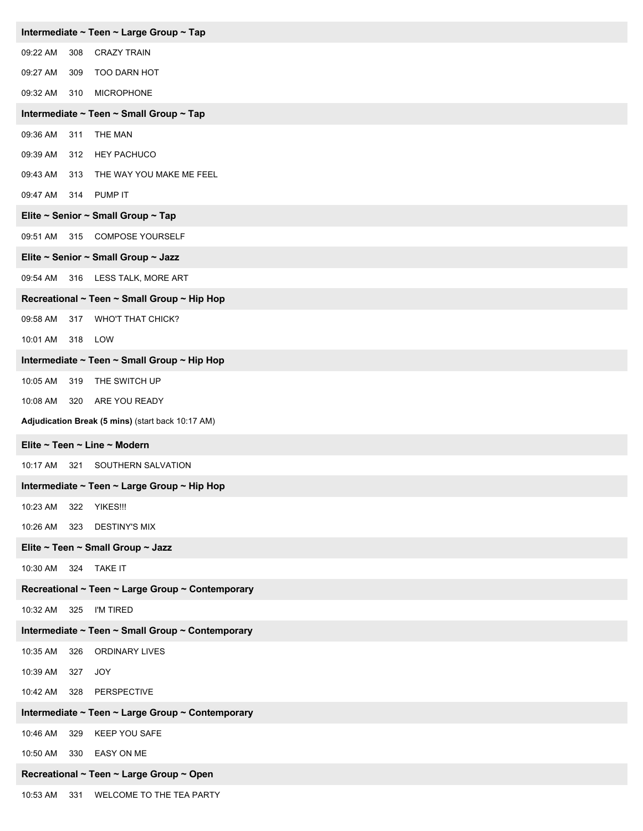| Intermediate ~ Teen ~ Large Group ~ Tap           |  |  |  |  |  |
|---------------------------------------------------|--|--|--|--|--|
| 09:22 AM<br><b>CRAZY TRAIN</b><br>308             |  |  |  |  |  |
| 09:27 AM<br>TOO DARN HOT<br>309                   |  |  |  |  |  |
| 09:32 AM<br><b>MICROPHONE</b><br>310              |  |  |  |  |  |
| Intermediate ~ Teen ~ Small Group ~ Tap           |  |  |  |  |  |
| 09:36 AM<br>311<br>THE MAN                        |  |  |  |  |  |
| <b>HEY PACHUCO</b><br>09:39 AM<br>312             |  |  |  |  |  |
| 09:43 AM<br>THE WAY YOU MAKE ME FEEL<br>313       |  |  |  |  |  |
| 09:47 AM<br>PUMP IT<br>314                        |  |  |  |  |  |
| Elite ~ Senior ~ Small Group ~ Tap                |  |  |  |  |  |
| 315 COMPOSE YOURSELF<br>09:51 AM                  |  |  |  |  |  |
| Elite ~ Senior ~ Small Group ~ Jazz               |  |  |  |  |  |
| 316 LESS TALK, MORE ART<br>09:54 AM               |  |  |  |  |  |
| Recreational ~ Teen ~ Small Group ~ Hip Hop       |  |  |  |  |  |
| 09:58 AM<br><b>WHO'T THAT CHICK?</b><br>317       |  |  |  |  |  |
| 318 LOW<br>10:01 AM                               |  |  |  |  |  |
| Intermediate ~ Teen ~ Small Group ~ Hip Hop       |  |  |  |  |  |
| THE SWITCH UP<br>10:05 AM<br>319                  |  |  |  |  |  |
| ARE YOU READY<br>10:08 AM<br>320                  |  |  |  |  |  |
| Adjudication Break (5 mins) (start back 10:17 AM) |  |  |  |  |  |
| Elite ~ Teen ~ Line ~ Modern                      |  |  |  |  |  |
| SOUTHERN SALVATION<br>10:17 AM<br>321             |  |  |  |  |  |
| Intermediate ~ Teen ~ Large Group ~ Hip Hop       |  |  |  |  |  |
| 10:23 AM<br>322<br>YIKES!!!                       |  |  |  |  |  |
| <b>DESTINY'S MIX</b><br>10:26 AM<br>323           |  |  |  |  |  |
| Elite ~ Teen ~ Small Group ~ Jazz                 |  |  |  |  |  |
| 10:30 AM<br>324 TAKE IT                           |  |  |  |  |  |
| Recreational ~ Teen ~ Large Group ~ Contemporary  |  |  |  |  |  |
| I'M TIRED<br>10:32 AM<br>325                      |  |  |  |  |  |
| Intermediate ~ Teen ~ Small Group ~ Contemporary  |  |  |  |  |  |
| 10:35 AM<br>326<br><b>ORDINARY LIVES</b>          |  |  |  |  |  |
| 10:39 AM<br>JOY<br>327                            |  |  |  |  |  |
| PERSPECTIVE<br>10:42 AM<br>328                    |  |  |  |  |  |
| Intermediate ~ Teen ~ Large Group ~ Contemporary  |  |  |  |  |  |
| 10:46 AM<br><b>KEEP YOU SAFE</b><br>329           |  |  |  |  |  |
| <b>EASY ON ME</b><br>10:50 AM<br>330              |  |  |  |  |  |
|                                                   |  |  |  |  |  |
| Recreational ~ Teen ~ Large Group ~ Open          |  |  |  |  |  |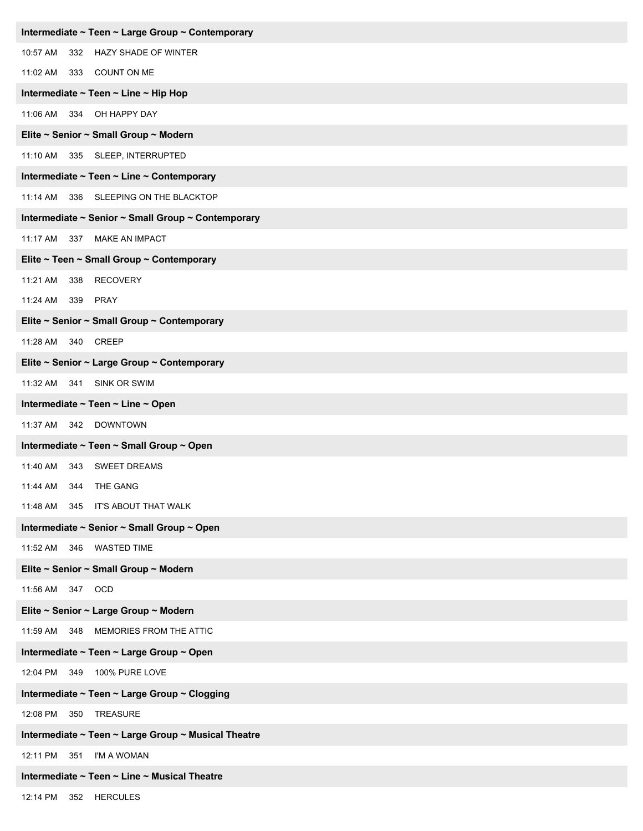| Intermediate ~ Teen ~ Large Group ~ Contemporary    |
|-----------------------------------------------------|
| 10:57 AM 332 HAZY SHADE OF WINTER                   |
| COUNT ON ME<br>11:02 AM<br>333                      |
| Intermediate ~ Teen ~ Line ~ Hip Hop                |
| 11:06 AM 334 OH HAPPY DAY                           |
| Elite ~ Senior ~ Small Group ~ Modern               |
| 11:10 AM 335 SLEEP, INTERRUPTED                     |
| Intermediate ~ Teen ~ Line ~ Contemporary           |
| 11:14 AM 336 SLEEPING ON THE BLACKTOP               |
| Intermediate ~ Senior ~ Small Group ~ Contemporary  |
| 11:17 AM 337 MAKE AN IMPACT                         |
| Elite ~ Teen ~ Small Group ~ Contemporary           |
| <b>RECOVERY</b><br>11:21 AM<br>338                  |
| 339 PRAY<br>11:24 AM                                |
| Elite ~ Senior ~ Small Group ~ Contemporary         |
| 11:28 AM 340 CREEP                                  |
| Elite ~ Senior ~ Large Group ~ Contemporary         |
| 11:32 AM 341<br>SINK OR SWIM                        |
| Intermediate ~ Teen ~ Line ~ Open                   |
| 11:37 AM<br>342 DOWNTOWN                            |
| Intermediate ~ Teen ~ Small Group ~ Open            |
| <b>SWEET DREAMS</b><br>11:40 AM<br>343              |
| 344<br>THE GANG<br>11:44 AM                         |
| 11:48 AM 345 IT'S ABOUT THAT WALK                   |
| Intermediate ~ Senior ~ Small Group ~ Open          |
| 11:52 AM 346 WASTED TIME                            |
| Elite ~ Senior ~ Small Group ~ Modern               |
| 11:56 AM 347 OCD                                    |
| Elite ~ Senior ~ Large Group ~ Modern               |
| 11:59 AM 348 MEMORIES FROM THE ATTIC                |
| Intermediate ~ Teen ~ Large Group ~ Open            |
| 12:04 PM 349 100% PURE LOVE                         |
| Intermediate ~ Teen ~ Large Group ~ Clogging        |
| 12:08 PM 350<br><b>TREASURE</b>                     |
| Intermediate ~ Teen ~ Large Group ~ Musical Theatre |
| 12:11 PM 351<br>I'M A WOMAN                         |
| Intermediate ~ Teen ~ Line ~ Musical Theatre        |
| 12:14 PM 352 HERCULES                               |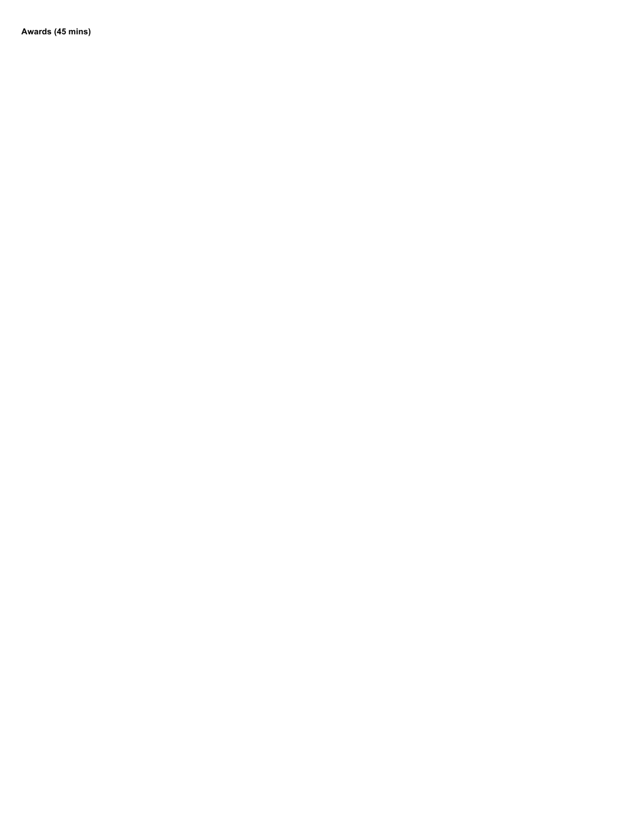**Awards (45 mins)**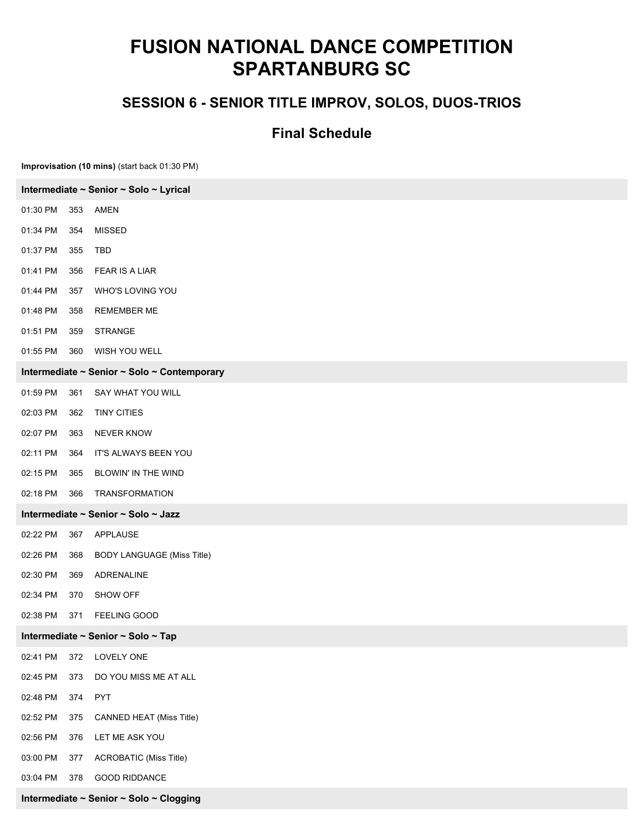### **SESSION 6 - SENIOR TITLE IMPROV, SOLOS, DUOS-TRIOS**

#### **Final Schedule**

**Improvisation (10 mins)** (start back 01:30 PM)

| Intermediate ~ Senior ~ Solo ~ Lyrical  |                                             |  |
|-----------------------------------------|---------------------------------------------|--|
| 01:30 PM<br>353                         | AMEN                                        |  |
| 01:34 PM<br>354                         | <b>MISSED</b>                               |  |
| 01:37 PM<br>TBD<br>355                  |                                             |  |
| 01:41 PM<br>356                         | <b>FEAR IS A LIAR</b>                       |  |
| 01:44 PM<br>357                         | WHO'S LOVING YOU                            |  |
| 01:48 PM<br>358                         | <b>REMEMBER ME</b>                          |  |
| 01:51 PM<br>359                         | <b>STRANGE</b>                              |  |
| 01:55 PM<br>360                         | WISH YOU WELL                               |  |
|                                         | Intermediate ~ Senior ~ Solo ~ Contemporary |  |
| 01:59 PM<br>361                         | SAY WHAT YOU WILL                           |  |
| 02:03 PM<br>362                         | <b>TINY CITIES</b>                          |  |
| 02:07 PM<br>363                         | <b>NEVER KNOW</b>                           |  |
| 02:11 PM<br>364                         | IT'S ALWAYS BEEN YOU                        |  |
| 02:15 PM<br>365                         | BLOWIN' IN THE WIND                         |  |
| 02:18 PM<br>366                         | TRANSFORMATION                              |  |
| Intermediate ~ Senior ~ Solo ~ Jazz     |                                             |  |
| 02:22 PM<br>367                         | APPLAUSE                                    |  |
| 02:26 PM<br>368                         | <b>BODY LANGUAGE (Miss Title)</b>           |  |
| 02:30 PM<br>369                         | ADRENALINE                                  |  |
| 02:34 PM<br>370                         | SHOW OFF                                    |  |
| 02:38 PM<br>371                         | FEELING GOOD                                |  |
| Intermediate ~ Senior ~ Solo ~ Tap      |                                             |  |
| 02:41 PM<br>372                         | LOVELY ONE                                  |  |
| 02:45 PM<br>373                         | DO YOU MISS ME AT ALL                       |  |
| 02:48 PM<br>374<br><b>PYT</b>           |                                             |  |
| 02:52 PM<br>375                         | CANNED HEAT (Miss Title)                    |  |
| 02:56 PM<br>376                         | LET ME ASK YOU                              |  |
| 03:00 PM<br>377                         | <b>ACROBATIC (Miss Title)</b>               |  |
| 03:04 PM<br>378                         | <b>GOOD RIDDANCE</b>                        |  |
| Intermediate ~ Senior ~ Solo ~ Clogging |                                             |  |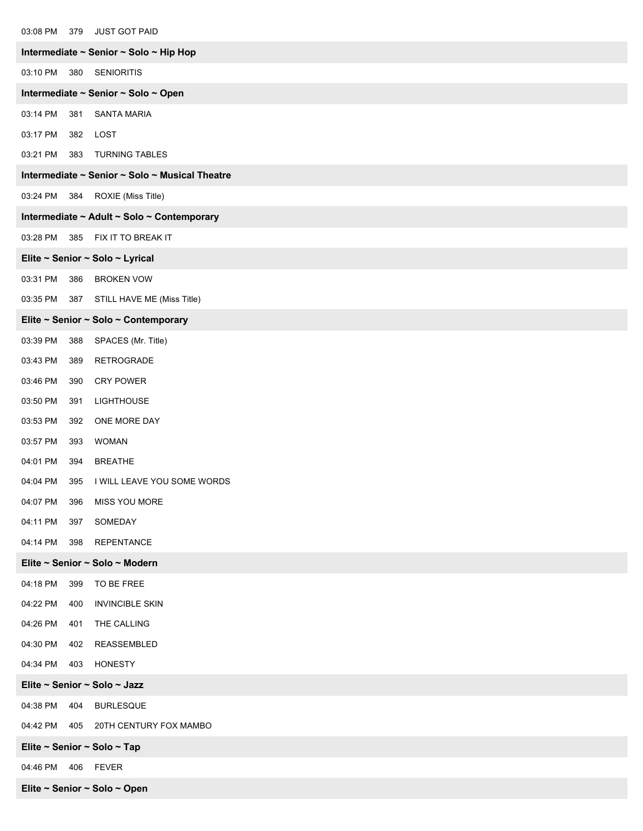| 03:08 PM 379<br><b>JUST GOT PAID</b>           |
|------------------------------------------------|
| Intermediate ~ Senior ~ Solo ~ Hip Hop         |
| 03:10 PM<br>380<br><b>SENIORITIS</b>           |
| Intermediate ~ Senior ~ Solo ~ Open            |
| 03:14 PM<br>381<br><b>SANTA MARIA</b>          |
| 03:17 PM<br>382 LOST                           |
| 03:21 PM 383<br><b>TURNING TABLES</b>          |
| Intermediate ~ Senior ~ Solo ~ Musical Theatre |
| ROXIE (Miss Title)<br>03:24 PM<br>384          |
| Intermediate ~ Adult ~ Solo ~ Contemporary     |
| 03:28 PM 385 FIX IT TO BREAK IT                |
| Elite ~ Senior ~ Solo ~ Lyrical                |
| 03:31 PM<br>386<br><b>BROKEN VOW</b>           |
| 03:35 PM<br>387 STILL HAVE ME (Miss Title)     |
| Elite ~ Senior ~ Solo ~ Contemporary           |
| 03:39 PM<br>388<br>SPACES (Mr. Title)          |
| 03:43 PM<br>RETROGRADE<br>389                  |
| 03:46 PM<br><b>CRY POWER</b><br>390            |
| 03:50 PM<br>391<br><b>LIGHTHOUSE</b>           |
| 03:53 PM<br>ONE MORE DAY<br>392                |
| 03:57 PM<br><b>WOMAN</b><br>393                |
| 04:01 PM<br>394<br><b>BREATHE</b>              |
| I WILL LEAVE YOU SOME WORDS<br>04:04 PM<br>395 |
| 04:07 PM<br>396<br><b>MISS YOU MORE</b>        |
| SOMEDAY<br>04:11 PM<br>397                     |
| 04:14 PM<br>398<br><b>REPENTANCE</b>           |
| Elite ~ Senior ~ Solo ~ Modern                 |
| 04:18 PM<br>399<br>TO BE FREE                  |
| 04:22 PM<br><b>INVINCIBLE SKIN</b><br>400      |
| 04:26 PM<br>THE CALLING<br>401                 |
| REASSEMBLED<br>04:30 PM<br>402                 |
| 04:34 PM<br><b>HONESTY</b><br>403              |
| Elite ~ Senior ~ Solo ~ Jazz                   |
| 04:38 PM<br>404<br><b>BURLESQUE</b>            |
| 04:42 PM<br>20TH CENTURY FOX MAMBO<br>405      |
| Elite ~ Senior ~ Solo ~ Tap                    |
| 04:46 PM<br>406<br><b>FEVER</b>                |
| Elite ~ Senior ~ Solo ~ Open                   |